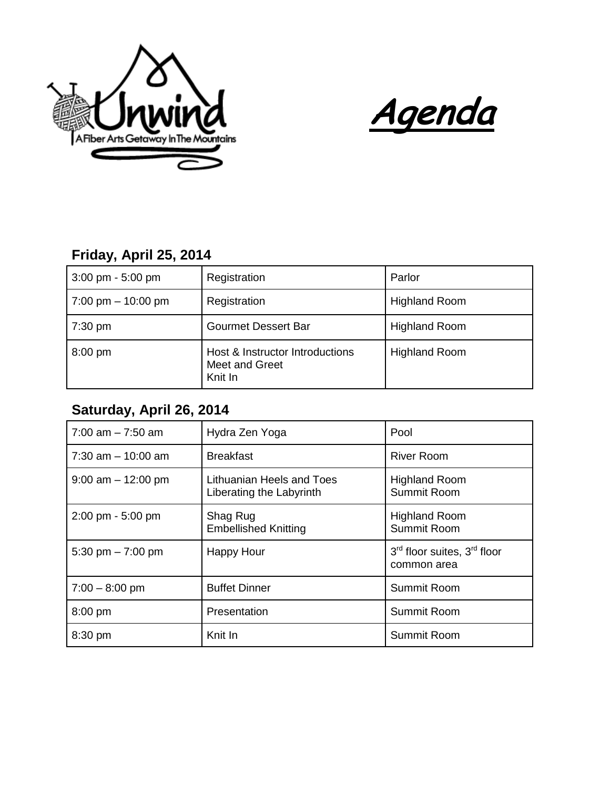



## **Friday, April 25, 2014**

| $3:00 \text{ pm} - 5:00 \text{ pm}$  | Registration                                                 | Parlor               |
|--------------------------------------|--------------------------------------------------------------|----------------------|
| $7:00 \text{ pm} - 10:00 \text{ pm}$ | Registration                                                 | <b>Highland Room</b> |
| $7:30 \text{ pm}$                    | <b>Gourmet Dessert Bar</b>                                   | <b>Highland Room</b> |
| $8:00$ pm                            | Host & Instructor Introductions<br>Meet and Greet<br>Knit In | <b>Highland Room</b> |

## **Saturday, April 26, 2014**

| $7:00$ am $-7:50$ am                | Hydra Zen Yoga                                        | Pool                                                               |
|-------------------------------------|-------------------------------------------------------|--------------------------------------------------------------------|
| $7:30$ am $-10:00$ am               | <b>Breakfast</b>                                      | <b>River Room</b>                                                  |
| $9:00$ am $-12:00$ pm               | Lithuanian Heels and Toes<br>Liberating the Labyrinth | <b>Highland Room</b><br>Summit Room                                |
| $2:00 \text{ pm} - 5:00 \text{ pm}$ | Shag Rug<br><b>Embellished Knitting</b>               | <b>Highland Room</b><br>Summit Room                                |
| 5:30 pm $- 7:00$ pm                 | <b>Happy Hour</b>                                     | 3 <sup>rd</sup> floor suites, 3 <sup>rd</sup> floor<br>common area |
| $7:00 - 8:00$ pm                    | <b>Buffet Dinner</b>                                  | Summit Room                                                        |
| 8:00 pm                             | Presentation                                          | Summit Room                                                        |
| 8:30 pm                             | Knit In                                               | Summit Room                                                        |